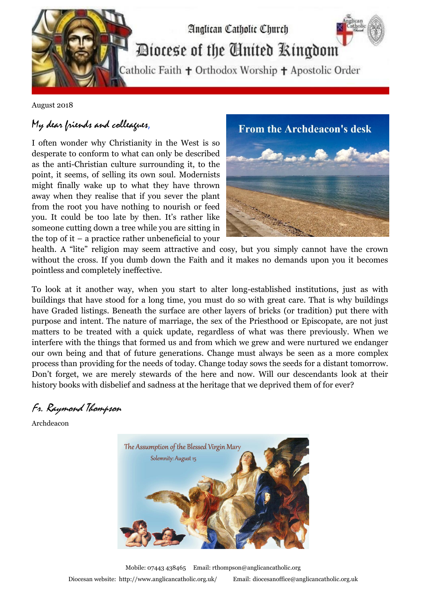

August 2018

## My dear friends and colleagues,

I often wonder why Christianity in the West is so desperate to conform to what can only be described as the anti-Christian culture surrounding it, to the point, it seems, of selling its own soul. Modernists might finally wake up to what they have thrown away when they realise that if you sever the plant from the root you have nothing to nourish or feed you. It could be too late by then. It's rather like someone cutting down a tree while you are sitting in the top of it – a practice rather unbeneficial to your



health. A "lite" religion may seem attractive and cosy, but you simply cannot have the crown without the cross. If you dumb down the Faith and it makes no demands upon you it becomes pointless and completely ineffective.

To look at it another way, when you start to alter long-established institutions, just as with buildings that have stood for a long time, you must do so with great care. That is why buildings have Graded listings. Beneath the surface are other layers of bricks (or tradition) put there with purpose and intent. The nature of marriage, the sex of the Priesthood or Episcopate, are not just matters to be treated with a quick update, regardless of what was there previously. When we interfere with the things that formed us and from which we grew and were nurtured we endanger our own being and that of future generations. Change must always be seen as a more complex process than providing for the needs of today. Change today sows the seeds for a distant tomorrow. Don't forget, we are merely stewards of the here and now. Will our descendants look at their history books with disbelief and sadness at the heritage that we deprived them of for ever?

## Fr. Raymond Thompson

Archdeacon